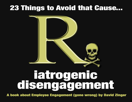# **23 Things to Avoid that Cause...**



# **Tatrogenic<br>disengagement**

A book about Employee Engagement (gone wrong) by David Zinger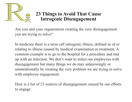

#### **23 Things to Avoid That Cause Iatrogenic Disengagement**

Are you and your organization creating the very disengagement you are trying to solve?

In medicine there is a term call iatrogenic illness, defined as of or relating to illness caused by medical examination or treatment. A common example is to go to the hospital for a procedure and end up with an infection. We don't want to infect our employees with disengagement but many things we do may unknowingly or unintentionally be creating the very problem we are trying to solve with employee engagement.

Here is a list of 23 sources of disengagement caused by our efforts to engage: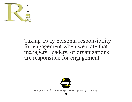

#### Taking away personal responsibility for engagement when we state that managers, leaders, or organizations are responsible for engagement.



23 things to avoid that cause Iatrogenic Disengagement by David Zinger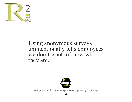

#### Using anonymous surveys unintentionally tells employees we don't want to know who they are.



23 things to avoid that cause Iatrogenic Disengagement by David Zinger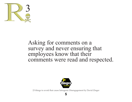

#### Asking for comments on a survey and never ensuring that employees know that their comments were read and respected.



23 things to avoid that cause Iatrogenic Disengagement by David Zinger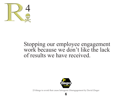

# Stopping our employee engagement work because we don't like the lack of results we have received.



23 things to avoid that cause Iatrogenic Disengagement by David Zinger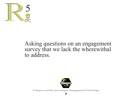

# Asking questions on an engagement survey that we lack the wherewithal to address.



23 things to avoid that cause Iatrogenic Disengagement by David Zinger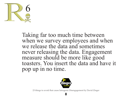

Taking far too much time between when we survey employees and when we release the data and sometimes never releasing the data. Engagement measure should be more like good toasters. You insert the data and have it pop up in no time.



23 things to avoid that cause Iatrogenic Disengagement by David Zinger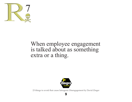

# When employee engagement is talked about as something extra or a thing.



23 things to avoid that cause Iatrogenic Disengagement by David Zinger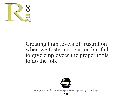

# Creating high levels of frustration when we foster motivation but fail to give employees the proper tools to do the job.



23 things to avoid that cause Iatrogenic Disengagement by David Zinger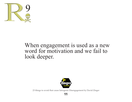

# When engagement is used as a new word for motivation and we fail to look deeper.



23 things to avoid that cause Iatrogenic Disengagement by David Zinger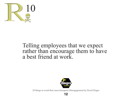

# Telling employees that we expect rather than encourage them to have a best friend at work.



23 things to avoid that cause Iatrogenic Disengagement by David Zinger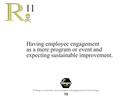

# Having employee engagement as a mere program or event and expecting sustainable improvement.



23 things to avoid that cause Iatrogenic Disengagement by David Zinger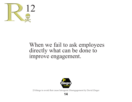

# When we fail to ask employees directly what can be done to improve engagement.



23 things to avoid that cause Iatrogenic Disengagement by David Zinger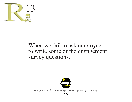

# When we fail to ask employees to write some of the engagement survey questions.



23 things to avoid that cause Iatrogenic Disengagement by David Zinger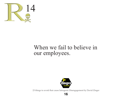

# When we fail to believe in our employees.



23 things to avoid that cause Iatrogenic Disengagement by David Zinger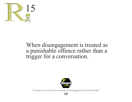

# When disengagement is treated as a punishable offence rather than a trigger for a conversation.



23 things to avoid that cause Iatrogenic Disengagement by David Zinger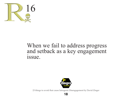

# When we fail to address progress and setback as a key engagement issue.



23 things to avoid that cause Iatrogenic Disengagement by David Zinger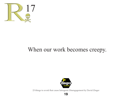

# When our work becomes creepy.



23 things to avoid that cause Iatrogenic Disengagement by David Zinger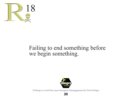

# Failing to end something before we begin something.



23 things to avoid that cause Iatrogenic Disengagement by David Zinger

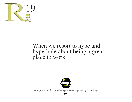

# When we resort to hype and hyperbole about being a great place to work.



23 things to avoid that cause Iatrogenic Disengagement by David Zinger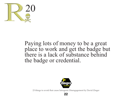

#### Paying lots of money to be a great place to work and get the badge but there is a lack of substance behind the badge or credential.



23 things to avoid that cause Iatrogenic Disengagement by David Zinger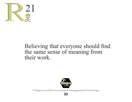

# Believing that everyone should find the same sense of meaning from their work.



23 things to avoid that cause Iatrogenic Disengagement by David Zinger

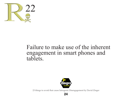

#### Failure to make use of the inherent engagement in smart phones and tablets.



23 things to avoid that cause Iatrogenic Disengagement by David Zinger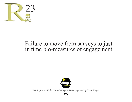

# Failure to move from surveys to just in time bio-measures of engagement.



23 things to avoid that cause Iatrogenic Disengagement by David Zinger